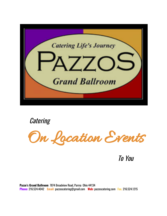

*Catering* 



To You

**Pazzo's Grand Ballroom** 7874 Broadview Road, Parma Ohio 44134 **Phone:** 216.524.4042 **Email:** [pazzoscatering@gmail.com](mailto:pazzoscatering@gmail.com) **Web:** pazzoscatering.com **Fax.** 216.524.1215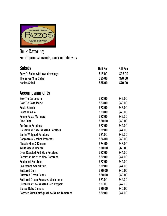

# Bulk Catering For off premise events, carry-out, delivery

| Salads                                      | <b>Half Pan</b> | <b>Full Pan</b> |
|---------------------------------------------|-----------------|-----------------|
| Pazzo's Salad with two dressings            | \$18.00         | \$36.00         |
| <b>The Seven Sins Salad</b>                 | \$35.00         | \$70.00         |
| <b>Naples Salad</b>                         | \$35.00         | \$70.00         |
| <b>Accompaniments</b>                       |                 |                 |
| <b>Bow Tie Carbonara</b>                    | \$23.00         | \$46.00         |
| <b>Bow Tie Rosa Marie</b>                   | \$23.00         | \$46.00         |
| Pasta Alfredo                               | \$23.00         | \$46.00         |
| Pasta Diavolo                               | \$23.00         | \$46.00         |
| Penne Pasta Marinara                        | \$22.00         | \$42.00         |
| <b>Rice Pilaf</b>                           | \$20.00         | \$40.00         |
| <b>Au Gratin Potatoes</b>                   | \$22.00         | \$44.00         |
| <b>Balsamic &amp; Sage Roasted Potatoes</b> | \$22.00         | \$44.00         |
| <b>Garlic Whipped Potatoes</b>              | \$21.00         | \$42.00         |
| <b>Gorgonzola Mashed Potatoes</b>           | \$24.00         | \$48.00         |
| <b>Classic Mac &amp; Cheese</b>             | \$24.00         | \$48.00         |
| <b>Adult Mac &amp; Cheese</b>               | \$30.00         | \$60.00         |
| <b>Oven Roasted Red Skin Potatoes</b>       | \$22.00         | \$44.00         |
| <b>Parmesan Crusted New Potatoes</b>        | \$22.00         | \$44.00         |
| <b>Scalloped Potatoes</b>                   | \$22.00         | \$44.00         |
| <b>Sweetened Sauerkraut</b>                 | \$22.00         | \$44.00         |
| <b>Buttered Corn</b>                        | \$20.00         | \$40.00         |
| <b>Buttered Green Beans</b>                 | \$20.00         | \$40.00         |
| <b>Buttered Green Beans w/Mushrooms</b>     | \$21.00         | \$42.00         |
| <b>Green Beans w/Roasted Red Peppers</b>    | \$21.00         | \$42.00         |
| <b>Glazed Baby Carrots</b>                  | \$20.00         | \$40.00         |
| Roasted Zucchini/Squash w/Roma Tomatoes     | \$22.00         | \$44.00         |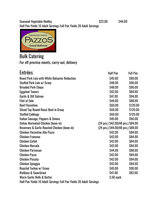Seasonal Vegetable Medley **\$22.00** \$44.00 Half Pan Yields 10 Adult Servings Full Pan Yields 20 Adult Servings



Bulk Catering For off premise events, carry-out, delivery

| <b>Entrées</b>                                                      | <b>Half Pan</b>                                         | <b>Full Pan</b> |
|---------------------------------------------------------------------|---------------------------------------------------------|-----------------|
| <b>Roast Pork Loin with White Balsamic Reduction</b>                | \$45.00                                                 | \$90.00         |
| Stuffed Pork Loin w/ Gravy                                          | \$48.00                                                 | \$96.00         |
| <b>Breaded Pork Chops</b>                                           | \$48.00                                                 | \$96.00         |
| <b>Eggplant Towers</b>                                              | \$42.00                                                 | \$84.00         |
| <b>Garlic &amp; Dill Salmon</b>                                     | \$47.00                                                 | \$94.00         |
| <b>Filet of Sole</b>                                                | \$44.00                                                 | \$88.00         |
| <b>Beef Florentine</b>                                              | \$60.00                                                 | \$120.00        |
| <b>Sliced Top Round Roast Beef in Gravy</b>                         | \$60.00                                                 | \$120.00        |
| <b>Stuffed Cabbage</b>                                              | \$60.00                                                 | \$120.00        |
| Italian Sausage, Peppers & Onions                                   | \$45.00                                                 | \$90.00         |
| Italian Marinated Chicken (bone-in)                                 | $(24 \text{ pcs.})$ \$42.00 $(48 \text{ pcs.})$ \$84.00 |                 |
| Rosemary & Garlic Roasted Chicken (bone-in)                         | $(24 \text{ pcs.})$ \$44.00 $(48 \text{ pcs.})$ \$88.00 |                 |
| <b>Chicken Florentine Alla Pazzo</b>                                | \$42.00                                                 | \$84.00         |
| <b>Chicken Francese</b>                                             | \$42.00                                                 | \$84.00         |
| <b>Chicken Cutlet</b>                                               | \$42.00                                                 | \$84.00         |
| Chicken Marsala                                                     | \$42.00                                                 | \$84.00         |
| <b>Chicken Parmesan</b>                                             | \$44.00                                                 | \$88.00         |
| <b>Chicken Pazzo</b>                                                | \$42.00                                                 | \$84.00         |
| <b>Chicken Piccata</b>                                              | \$42.00                                                 | \$84.00         |
| <b>Chicken Spiaggia</b>                                             | \$42.00                                                 | \$84.00         |
| Roasted Turkey w/ Gravy                                             | \$45.00                                                 | \$90.00         |
| Kielbasa & Sauerkraut                                               | \$41.00                                                 | \$82.00         |
| <b>Warm Garlic Rolls &amp; Butter</b>                               | \$.50 each                                              |                 |
| Half Pan Yields 10 Adult Servings Full Pan Yields 20 Adult Servings |                                                         |                 |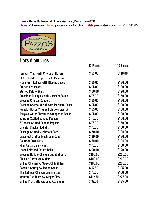## **Pazzo's Grand Ballroom** 7874 Broadview Road, Parma Ohio 44134

**Phone:** 216.524.4042 **Email:** [pazzoscatering@gmail.com](mailto:pazzoscatering@gmail.com) **Web:** pazzoscatering.com **Fax.** 216.524.1215



# Hors d'oeuvres

|                                                   | 50 Pieces | <b>100 Pieces</b> |
|---------------------------------------------------|-----------|-------------------|
| <b>Famous Wings with Choice of Flavors</b>        | \$55.00   | \$110.00          |
| BBQ Buffalo Teriyaki Garlic Parmesan              |           |                   |
| <b>Fresh Fruit Kabobs with Dipping Sauce</b>      | \$65.00   | \$130.00          |
| <b>Stuffed Artichokes</b>                         | \$65.00   | \$130.00          |
| <b>Stuffed Potato Skins</b>                       | \$60.00   | \$120.00          |
| <b>Provolone Triangles with Marinara Sauce</b>    | \$75.00   | \$150.00          |
| <b>Breaded Chicken Daggers</b>                    | \$65.00   | \$130.00          |
| <b>Breaded Cheese Ravioli with Marinara Sauce</b> | \$65.00   | \$130.00          |
| Rumaki (Bacon Wrapped Chicken Livers)             | \$65.00   | \$130.00          |
| Teriyaki Water Chestnuts wrapped in Bacon         | \$65.00   | \$130.00          |
| <b>Sausage Stuffed Banana Peppers</b>             | \$75.00   | \$150.00          |
| 5 Cheese Stuffed Banana Peppers                   | \$75.00   | \$150.00          |
| <b>Oriental Chicken Kabobs</b>                    | \$75.00   | \$150.00          |
| <b>Sausage Stuffed Mushroom Caps</b>              | \$80.00   | \$160.00          |
| <b>Crabmeat Stuffed Mushroom Caps</b>             | \$90.00   | \$180.00          |
| <b>Gourmet Pizza Cuts</b>                         | \$50.00   | \$100.00          |
| <b>Mini Italian Sandwiches</b>                    | \$75.00   | \$150.00          |
| <b>Loaded Mashed Potato Balls</b>                 | \$60.00   | \$120.00          |
| <b>Breaded Buffalo Chicken Cutlet Sliders</b>     | \$100.00  | \$200.00          |
| <b>Chicken Parmesan Sliders</b>                   | \$100.00  | \$200.00          |
| Grilled Chicken w/ Sweet Chili Sliders            | \$100.00  | \$200.00          |
| Coconut Shrimp w/ Melba Sauce                     | \$97.50   | \$195.00          |
| <b>Thai Lollipop Chicken Drummettes</b>           | \$75.00   | \$150.00          |
| Wonton Fish Tacos w/ Ginger Slaw                  | \$112.50  | \$225.00          |
| <b>Grilled Prosciutto wrapped Asparagus</b>       | \$97.50   | \$195.00          |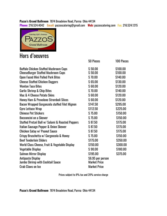#### **Pazzo's Grand Ballroom** 7874 Broadview Road, Parma Ohio 44134 **Phone:** 216.524.4042 **Email:** [pazzoscatering@gmail.com](mailto:pazzoscatering@gmail.com) **Web:** pazzoscatering.com **Fax.** 216.524.1215



# Hors d'oeuvres

|                                                   | 50 Pieces           | <b>100 Pieces</b> |
|---------------------------------------------------|---------------------|-------------------|
| <b>Buffalo Chicken Stuffed Mushroom Caps</b>      | \$50.00             | \$100.00          |
| <b>CheeseBurger Stuffed Mushroom Caps</b>         | \$50.00             | \$100.00          |
| <b>Open Faced Mini Pulled Pork Bites</b>          | \$70.00             | \$140.00          |
| <b>Cheese Stuffed Chicken Daggers</b>             | \$65.00             | \$130.00          |
| <b>Wonton Taco Bites</b>                          | \$60.00             | \$120.00          |
| <b>Garlic Shrimp &amp; Chip Bites</b>             | \$70.00             | \$140.00          |
| Mac & 4 Cheese Potato Skins                       | \$60.00             | \$120.00          |
| <b>Honey Ham &amp; Provolone Stromboli Slices</b> | \$60.00             | \$120.00          |
| Bacon Wrapped Gorgonzola stuffed Filet Mignon     | \$147.50            | \$295.00          |
| <b>Gyro Lettuce Wrap</b>                          | \$112.50            | \$225.00          |
| <b>Chinese Pot Stickers</b>                       | \$75.00             | \$150.00          |
| <b>Bocconcini on a Skewer</b>                     | \$75.00             | \$150.00          |
| Stuffed Pretzel Ball w/ Salami & Roasted Peppers  | \$87.50             | \$175.00          |
| Italian Sausage Pepper & Onion Skewer             | \$87.50             | \$175.00          |
| <b>Chicken Satay w/ Peanut Sauce</b>              | \$87.50             | \$175.00          |
| Crispy Bruschetta w/ Gorgonzola & Honey           | \$75.00             | \$150.00          |
| <b>Beef Tenderloin Sliders</b>                    | \$175.00            | \$350.00          |
| World Class Cheese, Fruit & Vegetable Display     | \$150.00            | \$300.00          |
| <b>Vegetable Display</b>                          | \$90.00             | \$180.00          |
| <b>Salmon Mirror Display</b>                      | \$195.00            | \$375.00          |
| <b>Antipasto Display</b>                          | \$6.95 per person   |                   |
| <b>Jumbo Shrimp with Cocktail Sauce</b>           | <b>Market Price</b> |                   |
| <b>Crab Claws on Ice</b>                          | <b>Market Price</b> |                   |

Prices subject to 8% tax and 20% service charge

#### **Pazzo's Grand Ballroom** 7874 Broadview Road, Parma Ohio 44134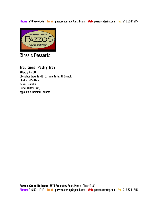**Phone:** 216.524.4042 **Email:** [pazzoscatering@gmail.com](mailto:pazzoscatering@gmail.com) **Web:** pazzoscatering.com **Fax.** 216.524.1215



# Classic Desserts

## **Traditional Pastry Tray**

48 pc.\$ 45.00 Chocolate Brownie with Caramel & Health Crunch, Blueberry Pie Bars, Italian Cannoli's Fluffer-Nutter Bars, Apple Pie & Caramel Squares